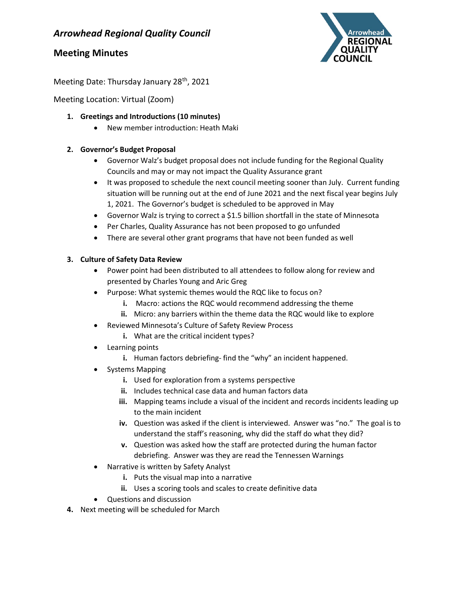### Arrowhead Regional Quality Council

### Meeting Minutes



Meeting Date: Thursday January 28<sup>th</sup>, 2021

Meeting Location: Virtual (Zoom)

- 1. Greetings and Introductions (10 minutes)
	- New member introduction: Heath Maki

#### 2. Governor's Budget Proposal

- Governor Walz's budget proposal does not include funding for the Regional Quality Councils and may or may not impact the Quality Assurance grant
- It was proposed to schedule the next council meeting sooner than July. Current funding situation will be running out at the end of June 2021 and the next fiscal year begins July 1, 2021. The Governor's budget is scheduled to be approved in May
- Governor Walz is trying to correct a \$1.5 billion shortfall in the state of Minnesota
- Per Charles, Quality Assurance has not been proposed to go unfunded
- There are several other grant programs that have not been funded as well

#### 3. Culture of Safety Data Review

- Power point had been distributed to all attendees to follow along for review and presented by Charles Young and Aric Greg
- Purpose: What systemic themes would the RQC like to focus on?
	- i. Macro: actions the RQC would recommend addressing the theme
	- ii. Micro: any barriers within the theme data the RQC would like to explore
- Reviewed Minnesota's Culture of Safety Review Process
	- i. What are the critical incident types?
- Learning points
	- i. Human factors debriefing-find the "why" an incident happened.
- Systems Mapping
	- i. Used for exploration from a systems perspective
	- ii. Includes technical case data and human factors data
	- iii. Mapping teams include a visual of the incident and records incidents leading up to the main incident
	- iv. Question was asked if the client is interviewed. Answer was "no." The goal is to understand the staff's reasoning, why did the staff do what they did?
	- v. Question was asked how the staff are protected during the human factor debriefing. Answer was they are read the Tennessen Warnings
- Narrative is written by Safety Analyst
	- i. Puts the visual map into a narrative
	- ii. Uses a scoring tools and scales to create definitive data
- Questions and discussion
- 4. Next meeting will be scheduled for March